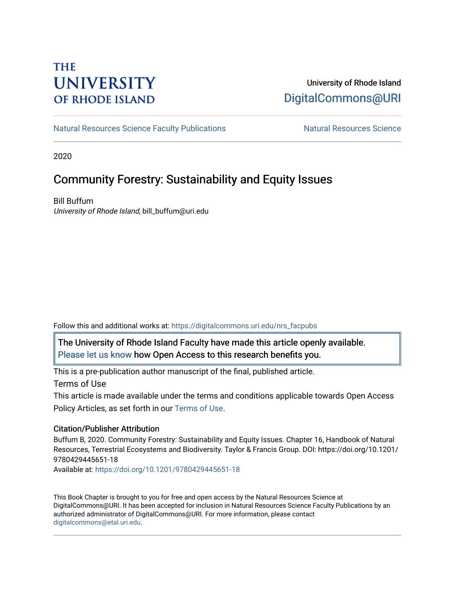# **THE UNIVERSITY OF RHODE ISLAND**

## University of Rhode Island [DigitalCommons@URI](https://digitalcommons.uri.edu/)

[Natural Resources Science Faculty Publications](https://digitalcommons.uri.edu/nrs_facpubs) Natural Resources Science

2020

## Community Forestry: Sustainability and Equity Issues

Bill Buffum University of Rhode Island, bill\_buffum@uri.edu

Follow this and additional works at: [https://digitalcommons.uri.edu/nrs\\_facpubs](https://digitalcommons.uri.edu/nrs_facpubs?utm_source=digitalcommons.uri.edu%2Fnrs_facpubs%2F211&utm_medium=PDF&utm_campaign=PDFCoverPages) 

The University of Rhode Island Faculty have made this article openly available. [Please let us know](http://web.uri.edu/library-digital-initiatives/open-access-online-form/) how Open Access to this research benefits you.

This is a pre-publication author manuscript of the final, published article.

Terms of Use

This article is made available under the terms and conditions applicable towards Open Access Policy Articles, as set forth in our [Terms of Use](https://digitalcommons.uri.edu/nrs_facpubs/oa_policy_terms.html).

### Citation/Publisher Attribution

Buffum B, 2020. Community Forestry: Sustainability and Equity Issues. Chapter 16, Handbook of Natural Resources, Terrestrial Ecosystems and Biodiversity. Taylor & Francis Group. DOI: https://doi.org/10.1201/ 9780429445651-18

Available at:<https://doi.org/10.1201/9780429445651-18>

This Book Chapter is brought to you for free and open access by the Natural Resources Science at DigitalCommons@URI. It has been accepted for inclusion in Natural Resources Science Faculty Publications by an authorized administrator of DigitalCommons@URI. For more information, please contact [digitalcommons@etal.uri.edu](mailto:digitalcommons@etal.uri.edu).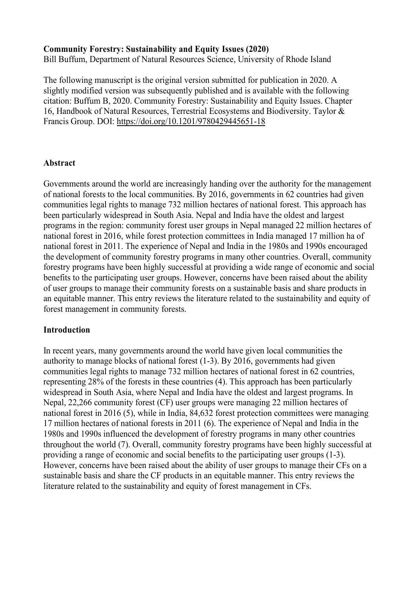### **Community Forestry: Sustainability and Equity Issues (2020)**

Bill Buffum, Department of Natural Resources Science, University of Rhode Island

The following manuscript is the original version submitted for publication in 2020. A slightly modified version was subsequently published and is available with the following citation: Buffum B, 2020. Community Forestry: Sustainability and Equity Issues. Chapter 16, Handbook of Natural Resources, Terrestrial Ecosystems and Biodiversity. Taylor & Francis Group. DOI: <https://doi.org/10.1201/9780429445651-18>

### **Abstract**

Governments around the world are increasingly handing over the authority for the management of national forests to the local communities. By 2016, governments in 62 countries had given communities legal rights to manage 732 million hectares of national forest. This approach has been particularly widespread in South Asia. Nepal and India have the oldest and largest programs in the region: community forest user groups in Nepal managed 22 million hectares of national forest in 2016, while forest protection committees in India managed 17 million ha of national forest in 2011. The experience of Nepal and India in the 1980s and 1990s encouraged the development of community forestry programs in many other countries. Overall, community forestry programs have been highly successful at providing a wide range of economic and social benefits to the participating user groups. However, concerns have been raised about the ability of user groups to manage their community forests on a sustainable basis and share products in an equitable manner. This entry reviews the literature related to the sustainability and equity of forest management in community forests.

### **Introduction**

In recent years, many governments around the world have given local communities the authority to manage blocks of national forest (1-3). By 2016, governments had given communities legal rights to manage 732 million hectares of national forest in 62 countries, representing 28% of the forests in these countries (4). This approach has been particularly widespread in South Asia, where Nepal and India have the oldest and largest programs. In Nepal, 22,266 community forest (CF) user groups were managing 22 million hectares of national forest in 2016 (5), while in India, 84,632 forest protection committees were managing 17 million hectares of national forests in 2011 (6). The experience of Nepal and India in the 1980s and 1990s influenced the development of forestry programs in many other countries throughout the world (7). Overall, community forestry programs have been highly successful at providing a range of economic and social benefits to the participating user groups (1-3). However, concerns have been raised about the ability of user groups to manage their CFs on a sustainable basis and share the CF products in an equitable manner. This entry reviews the literature related to the sustainability and equity of forest management in CFs.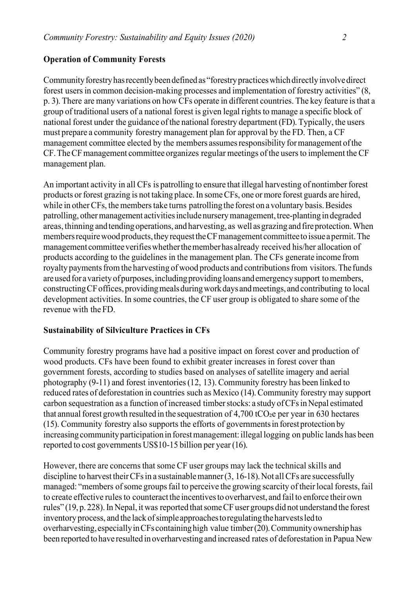## **Operation of Community Forests**

Communityforestryhasrecentlybeendefinedas "forestrypracticeswhichdirectly involvedirect forest users in common decision-making processes and implementation of forestry activities" (8, p. 3). There are many variations on how CFs operate in different countries. The key feature isthat a group of traditional users of a national forest is given legal rights to manage a specific block of national forest under the guidance ofthe national forestry department (FD). Typically, the users must prepare a community forestry management plan for approval by the FD. Then, a CF management committee elected by the members assumes responsibility for management of the CF.TheCFmanagement committee organizes regular meetings of the usersto implement the CF management plan.

An important activity in all CFs is patrolling to ensure that illegal harvesting of nontimber forest products or forest grazing is not taking place. In some CFs, one or more forest guards are hired, while in other CFs, the members take turns patrolling the forest on a voluntary basis. Besides patrolling, other management activities include nursery management, tree-planting in degraded areas, thinning and tending operations, and harvesting, as well as grazing and fire protection. When members require wood products, they request the CF management committee to issue a permit. The management committeeverifieswhetherthememberhas already received his/her allocation of products according to the guidelines in the management plan. The CFs generate income from royalty payments from the harvesting of wood products and contributions from visitors. The funds are used for a variety of purposes, including providing loans and emergency support to members, constructing CF offices, providing meals during work days and meetings, and contributing to local development activities. In some countries, the CF user group is obligated to share some of the revenue with the FD.

### **Sustainability of Silviculture Practices in CFs**

Community forestry programs have had a positive impact on forest cover and production of wood products. CFs have been found to exhibit greater increases in forest cover than government forests, according to studies based on analyses of satellite imagery and aerial photography (9-11) and forest inventories(12, 13). Community forestry has been linked to reduced rates of deforestation in countries such as Mexico (14).Community forestry may support carbon sequestration as a function of increased timber stocks: a study of CFs in Nepal estimated that annual forest growth resulted in the sequestration of  $4,700$  tCO<sub>2</sub>e per year in 630 hectares (15). Community forestry also supports the efforts of governmentsin forestprotection by increasing community participation in forest management: illegal logging on public lands has been reported to cost governments US\$10-15 billion per year (16).

However, there are concerns that some CF user groups may lack the technical skills and discipline to harvest their CFs in a sustainable manner  $(3, 16-18)$ . Not all CFs are successfully managed: "members of some groups fail to perceive the growing scarcity of their local forests, fail to create effective rules to counteract the incentives to overharvest, and fail to enforce their own rules" (19, p. 228). In Nepal, it was reported that some CF user groups did not understand the forest inventory process, and the lack of simple approaches to regulating the harvests led to overharvesting, especially in CFs containing high value timber (20). Community ownership has been reported to have resulted in overharvesting and increased rates of deforestation in Papua New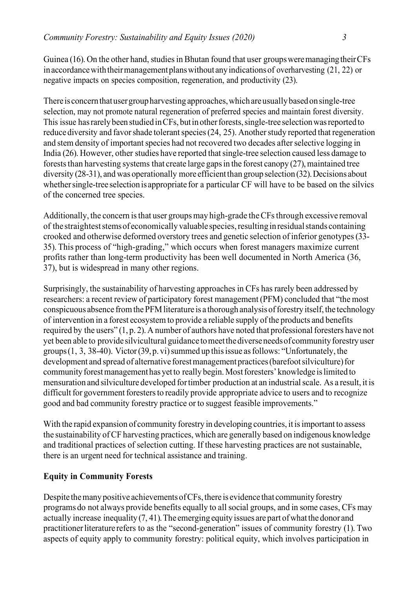Guinea (16). On the other hand, studies in Bhutan found that user groups were managing their  $CFs$ in accordance with their management plans without any indications of overharvesting (21, 22) or negative impacts on species composition, regeneration, and productivity (23).

There is concernthatusergroupharvesting approaches,whichareusuallybasedonsingle-tree selection, may not promote natural regeneration of preferred species and maintain forest diversity. This issue has rarely been studied in CFs, but in other forests, single-tree selection was reported to reduce diversity and favor shade tolerant species  $(24, 25)$ . Another study reported that regeneration and stem density of important species had not recovered two decades after selective logging in India (26). However, other studies have reported that single-tree selection caused less damage to forests than harvesting systems that create large gaps in the forest canopy  $(27)$ , maintained tree diversity (28-31), and was operationally more efficient than group selection (32). Decisions about whethersingle-tree selection is appropriate for a particular CF will have to be based on the silvics of the concerned tree species.

Additionally, the concern is that user groups may high-grade the CFs through excessive removal of the straightest stems of economically valuable species, resulting in residual stands containing crooked and otherwise deformed overstory trees and genetic selection of inferior genotypes(33- 35). This process of "high-grading," which occurs when forest managers maximize current profits rather than long-term productivity has been well documented in North America (36, 37), but is widespread in many other regions.

Surprisingly, the sustainability of harvesting approaches in CFs has rarely been addressed by researchers: a recent review of participatory forest management (PFM) concluded that "the most conspicuous absence fromthePFMliterature is a thorough analysis offorestry itself, the technology of intervention in a forest ecosystem to provide a reliable supply ofthe products and benefits required by the users" (1, p. 2). A number of authors have noted that professional foresters have not yet been able to provide silvicultural guidance to meet the diverse needs of community forestry user groups  $(1, 3, 38-40)$ . Victor  $(39, p. v_i)$  summed up this issue as follows: "Unfortunately, the development and spread of alternative forest management practices (barefoot silviculture) for community forestmanagementhas yetto really begin.Mostforesters' knowledge islimited to mensuration and silviculture developed for timber production at an industrial scale. As a result, it is difficult for government foresters to readily provide appropriate advice to users and to recognize good and bad community forestry practice or to suggest feasible improvements."

With the rapid expansion of community forestry in developing countries, it is important to assess the sustainability ofCF harvesting practices, which are generally based on indigenous knowledge and traditional practices of selection cutting. If these harvesting practices are not sustainable, there is an urgent need for technical assistance and training.

## **Equity in Community Forests**

Despite the many positive achievements of CFs, there is evidence that community forestry programs do not always provide benefits equally to all social groups, and in some cases, CFs may actually increase inequality (7, 41).The emerging equity issues are part ofwhatthe donor and practitioner literature refers to as the "second-generation" issues of community forestry (1). Two aspects of equity apply to community forestry: political equity, which involves participation in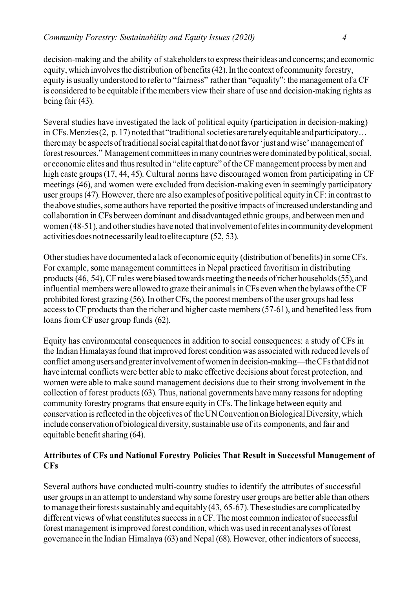decision-making and the ability of stakeholders to express their ideas and concerns; and economic equity, which involves the distribution of benefits (42). In the context of community forestry, equity is usually understood to refer to "fairness" rather than "equality": the management of a CF is considered to be equitable if the members view their share of use and decision-making rights as being fair (43).

Several studies have investigated the lack of political equity (participation in decision-making) in CFs. Menzies  $(2, p.17)$  noted that "traditional societies are rarely equitable and participatory... there may be aspects of traditional social capital that do not favor 'just and wise' management of forest resources." Management committees in many countries were dominated by political, social, or economic elites and thusresulted in "elite capture" oftheCF management process by men and high caste groups (17, 44, 45). Cultural norms have discouraged women from participating in CF meetings (46), and women were excluded from decision-making even in seemingly participatory user groups(47). However, there are also examples of positive political equity inCF: in contrast to the above studies, some authors have reported the positive impacts of increased understanding and collaboration in CFs between dominant and disadvantaged ethnic groups, and betweenmen and women (48-51), and other studies have noted that involvement of elites in community development activities does not necessarily lead to elite capture (52, 53).

Other studies have documented a lack of economic equity (distribution of benefits) in some CFs. For example, some management committees in Nepal practiced favoritism in distributing products (46, 54), CF rules were biased towards meeting the needs of richer households (55), and influential members were allowed to graze their animals in CFs even when the bylaws of the CF prohibited forest grazing (56). In other CFs, the poorest members of the user groups had less accesstoCF products than the richer and higher caste members (57-61), and benefited less from loans from CF user group funds (62).

Equity has environmental consequences in addition to social consequences: a study of CFs in the Indian Himalayas found that improved forest condition was associated with reduced levels of conflict amongusers andgreaterinvolvementofwomenindecision-making—theCFsthatdidnot have internal conflicts were better able to make effective decisions about forest protection, and women were able to make sound management decisions due to their strong involvement in the collection of forest products (63). Thus, national governments have many reasons for adopting community forestry programs that ensure equity in CFs. The linkage between equity and conservation isreflected in the objectives of theUNConventiononBiologicalDiversity,which include conservation of biological diversity, sustainable use of its components, and fair and equitable benefit sharing (64).

## **Attributes of CFs and National Forestry Policies That Result in Successful Management of CFs**

Several authors have conducted multi-country studies to identify the attributes of successful user groups in an attempt to understand why some forestry user groups are better able than others to manage their forests sustainably and equitably  $(43, 65-67)$ . These studies are complicated by different views of what constitutes success in a CF. The most common indicator of successful forest management is improved forest condition, which was used in recent analyses of forest governance in the Indian Himalaya (63) and Nepal (68). However, other indicators of success,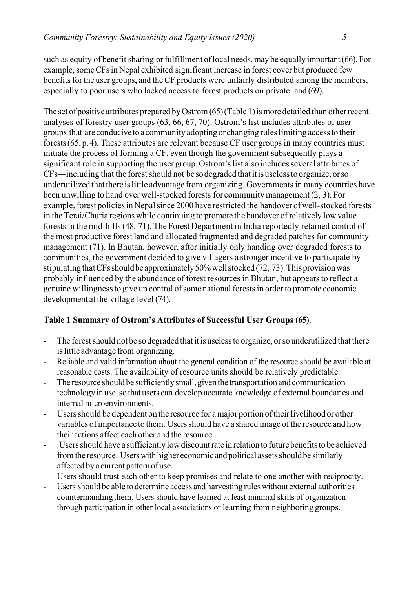such as equity of benefit sharing or fulfillment of local needs, may be equally important (66). For example, some CFs in Nepal exhibited significant increase in forest cover but produced few benefits for the user groups, and the CF products were unfairly distributed among the members, especially to poor users who lacked access to forest products on private land (69).

The set of positive attributes prepared by Ostrom (65)(Table 1) is more detailed than other recent analyses of forestry user groups (63, 66, 67, 70). Ostrom's list includes attributes of user groups that are conducive to a community adopting orchanging ruleslimiting accessto their forests(65, p.4). These attributes are relevant because CF user groups in many countries must initiate the process of forming a CF, even though the government subsequently plays a significant role in supporting the user group. Ostrom's list also includes several attributes of CFs—including that the forest should not be sodegraded that it is useless to organize, or so underutilized that there islittle advantage from organizing. Governments in many countries have been unwilling to hand over well-stocked forests for community management(2, 3). For example, forest policiesin Nepalsince 2000 have restricted the handover of well-stocked forests in the Terai/Churia regions while continuing to promote the handover of relatively low value forestsin the mid-hills (48, 71). The Forest Department in India reportedly retained control of the most productive forest land and allocated fragmented and degraded patches for community management (71). In Bhutan, however, after initially only handing over degraded forests to communities, the government decided to give villagers a stronger incentive to participate by stipulating that CFs should be approximately 50% well stocked (72, 73). This provision was probably influenced by the abundance of forest resources in Bhutan, but appears to reflect a genuine willingness to give up control of some national forests in order to promote economic development at the village level (74).

## **Table 1 Summary of Ostrom's Attributes of Successful User Groups (65).**

- The forest should not be so degraded that it is useless to organize, or so underutilized that there is little advantage from organizing.
- Reliable and valid information about the general condition of the resource should be available at reasonable costs. The availability of resource units should be relatively predictable.
- The resource should be sufficiently small, given the transportation and communication technology in use, so that users can develop accurate knowledge of external boundaries and internal microenvironments.
- Users should be dependent on the resource for a major portion of their livelihood or other variables of importance to them. Users should have a shared image of the resource and how their actions affect each other and the resource.
- Usersshould have a sufficiently lowdiscountrate in relation to future benefitsto be achieved from the resource. Users with higher economic and political assets should be similarly affected by a current pattern of use.
- Users should trust each other to keep promises and relate to one another with reciprocity.
- Users should be able to determine access and harvesting rules without external authorities countermanding them. Users should have learned at least minimal skills of organization through participation in other local associations or learning from neighboring groups.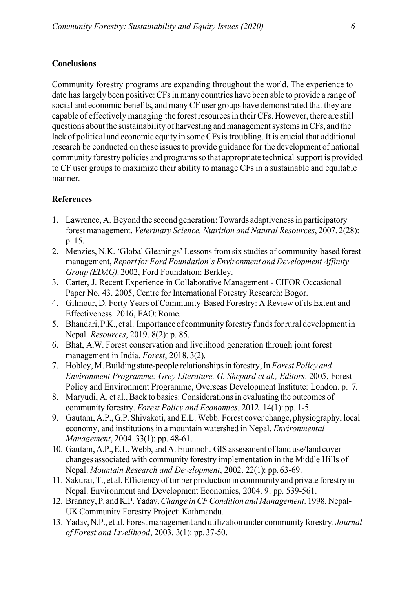### **Conclusions**

Community forestry programs are expanding throughout the world. The experience to date has largely been positive: CFs in many countries have been able to provide a range of social and economic benefits, and many CF user groups have demonstrated that they are capable of effectively managing the forestresourcesin theirCFs. However, there are still questions about the sustainability of harvesting and management systems in CFs, and the lack of political and economic equity in some CFs is troubling. It is crucial that additional research be conducted on these issues to provide guidance for the development of national community forestry policies and programs so that appropriate technical support is provided to CF user groups to maximize their ability to manage CFs in a sustainable and equitable manner.

## **References**

- 1. Lawrence, A. Beyond the second generation: Towards adaptivenessin participatory forest management. *Veterinary Science, Nutrition and Natural Resources*, 2007. 2(28): p. 15.
- 2. Menzies, N.K. 'Global Gleanings' Lessons from six studies of community-based forest management, *Report for Ford Foundation's Environment and Development Affinity Group (EDAG)*. 2002, Ford Foundation: Berkley.
- 3. Carter, J. Recent Experience in Collaborative Management CIFOR Occasional Paper No. 43. 2005, Centre for International Forestry Research: Bogor.
- 4. Gilmour, D. Forty Years of Community-Based Forestry: A Review of its Extent and Effectiveness. 2016, FAO: Rome.
- 5. Bhandari, P.K., et al. Importance of community forestry funds for rural development in Nepal. *Resources*, 2019. 8(2): p. 85.
- 6. Bhat, A.W. Forest conservation and livelihood generation through joint forest management in India. *Forest*, 2018. 3(2).
- 7. Hobley, M.Building state-people relationshipsin forestry,In *Forest Policy and Environment Programme: Grey Literature, G. Shepard et al., Editors*. 2005, Forest Policy and Environment Programme, Overseas Development Institute: London. p. 7.
- 8. Maryudi, A. et al., Back to basics: Considerations in evaluating the outcomes of community forestry. *Forest Policy and Economics*, 2012. 14(1): pp. 1-5.
- 9. Gautam, A.P., G.P. Shivakoti, and E.L. Webb. Forest cover change, physiography, local economy, and institutions in a mountain watershed in Nepal. *Environmental Management*, 2004. 33(1): pp. 48-61.
- 10. Gautam, A.P.,E.L. Webb, and A.Eiumnoh. GIS assessment ofland use/land cover changes associated with community forestry implementation in the Middle Hills of Nepal. *Mountain Research and Development*, 2002. 22(1): pp. 63-69.
- 11. Sakurai, T., et al. Efficiency oftimber production in community and private forestry in Nepal. Environment and Development Economics, 2004. 9: pp. 539-561.
- 12. Branney, P. and K.P. Yadav.*Change inCFCondition and Management*. 1998, Nepal-UK Community Forestry Project: Kathmandu.
- 13. Yadav, N.P., et al. Forest management and utilization under community forestry. *Journal of Forest and Livelihood*, 2003. 3(1): pp.37-50.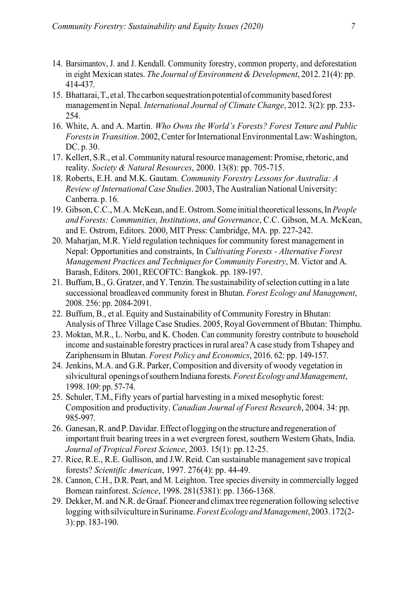- 14. Barsimantov, J. and J. Kendall. Community forestry, common property, and deforestation in eight Mexican states. *The Journal of Environment & Development*, 2012. 21(4): pp. 414-437.
- 15. Bhattarai,T.,et al.The carbonsequestrationpotentialof communitybasedforest managementin Nepal. *International Journal of Climate Change*, 2012. 3(2): pp. 233- 254.
- 16. White, A. and A. Martin. *Who Owns the World's Forests? Forest Tenure and Public Forests in Transition.* 2002, Center for International Environmental Law: Washington, DC. p. 30.
- 17. Kellert, S.R., et al. Community natural resource management: Promise, rhetoric, and reality. *Society & Natural Resources*, 2000. 13(8): pp. 705-715.
- 18. Roberts, E.H. and M.K. Gautam. *Community Forestry Lessons for Australia: A Review of InternationalCase Studies*. 2003,The Australian National University: Canberra. p. 16.
- 19. Gibson,C.C.,M.A.McKean, andE.Ostrom.Some initialtheoreticallessons,In*People andForests: Communities, Institutions, and Governance*, C.C. Gibson, M.A. McKean, and E. Ostrom, Editors. 2000, MIT Press: Cambridge, MA. pp. 227-242.
- 20. Maharjan, M.R. Yield regulation techniques for community forest management in Nepal: Opportunities and constraints, In *Cultivating Forests - Alternative Forest Management Practices and Techniques for Community Forestry*, M. Victor and A. Barash, Editors. 2001, RECOFTC: Bangkok. pp. 189-197.
- 21. Buffum,B., G. Gratzer, and Y.Tenzin. The sustainability ofselection cutting in a late successional broadleaved community forest in Bhutan. *Forest Ecology and Management*, 2008. 256: pp. 2084-2091.
- 22. Buffum, B., et al. Equity and Sustainability of Community Forestry in Bhutan: Analysis of Three Village Case Studies. 2005, Royal Government of Bhutan: Thimphu.
- 23. Moktan, M.R., L. Norbu, and K. Choden. Can community forestry contribute to household income and sustainable forestry practices in rural area? A case study from Tshapey and Zariphensumin Bhutan. *Forest Policy and Economics*, 2016. 62: pp. 149-157.
- 24. Jenkins, M.A. and G.R. Parker, Composition and diversity of woody vegetation in silvicultural openingsofsouthern Indiana forests.*Forest Ecology and Management*, 1998. 109: pp. 57-74.
- 25. Schuler, T.M., Fifty years of partial harvesting in a mixed mesophytic forest: Composition and productivity. *Canadian Journal of Forest Research*, 2004. 34: pp. 985-997.
- 26. Ganesan,R. andP.Davidar.Effect oflogging on the structure and regeneration of important fruit bearing trees in a wet evergreen forest, southern Western Ghats, India. *Journal of Tropical Forest Science*, 2003. 15(1): pp.12-25.
- 27. Rice, R.E., R.E. Gullison, and J.W. Reid. Can sustainable management save tropical forests? *Scientific American*, 1997. 276(4): pp. 44-49.
- 28. Cannon, C.H., D.R. Peart, and M. Leighton. Tree species diversity in commercially logged Bornean rainforest. *Science*, 1998. 281(5381): pp. 1366-1368.
- 29. Dekker, M. and N.R. de Graaf. Pioneer and climax tree regeneration following selective logging withsilviculture inSuriname.*ForestEcologyandManagement*,2003.172(2- 3):pp.183-190.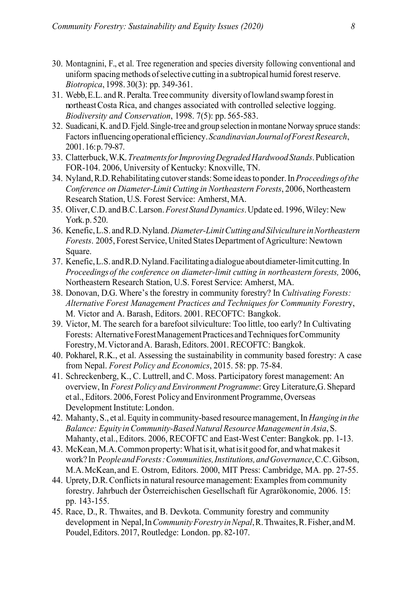- 30. Montagnini, F., et al. Tree regeneration and species diversity following conventional and uniform spacing methods of selective cutting in a subtropical humid forest reserve. *Biotropica*, 1998. 30(3): pp. 349-361.
- 31. Webb,E.L. andR. Peralta.Tree community diversity oflowland swamp forestin northeastCosta Rica, and changes associated with controlled selective logging. *Biodiversity and Conservation*, 1998. 7(5): pp. 565-583.
- 32. Suadicani, K. and D. Fjeld. Single-tree and group selection in montane Norway spruce stands: Factors influencingoperational efficiency.*ScandinavianJournalofForestResearch*, 2001.16:p.79-87.
- 33. Clatterbuck,W.K.*TreatmentsforImprovingDegradedHardwood Stands*.Publication FOR-104. 2006, University of Kentucky: Knoxville, TN.
- 34. Nyland,R.D.Rehabilitating cutoverstands: Some ideasto ponder.In*Proceedings ofthe Conference on Diameter-Limit Cutting in Northeastern Forests*, 2006, Northeastern Research Station, U.S. Forest Service: Amherst, MA.
- 35. Oliver,C.D. andB.C.Larson.*Forest Stand Dynamics*.Update ed. 1996,Wiley:New York.p. 520.
- 36. Kenefic,L.S. andR.D.Nyland.*Diameter-LimitCutting andSilviculture inNortheastern Forests*. 2005, Forest Service, United States Department of Agriculture: Newtown Square.
- 37. Kenefic,L.S. andR.D.Nyland.Facilitatingadialogue aboutdiameter-limit cutting.In *Proceedings of the conference on diameter-limit cutting in northeastern forests,* 2006, Northeastern Research Station, U.S. Forest Service: Amherst, MA.
- 38. Donovan, D.G. Where's the forestry in community forestry? In *Cultivating Forests: Alternative Forest Management Practices and Techniques for Community Forestr*y, M. Victor and A. Barash, Editors. 2001. RECOFTC: Bangkok.
- 39. Victor, M. The search for a barefoot silviculture: Too little, too early? In Cultivating Forests: Alternative Forest Management Practices and Techniques for Community Forestry,M.VictorandA. Barash, Editors. 2001.RECOFTC: Bangkok.
- 40. Pokharel, R.K., et al. Assessing the sustainability in community based forestry: A case from Nepal. *Forest Policy and Economics*, 2015. 58: pp. 75-84.
- 41. Schreckenberg, K., C. Luttrell, and C. Moss. Participatory forest management: An overview, In *Forest Policy and Environment Programme*: Grey Literature,G. Shepard et al., Editors. 2006, Forest Policy and Environment Programme, Overseas Development Institute: London.
- 42. Mahanty, S., et al. Equity in community-based resource management,In *Hanging in the Balance: Equity inCommunity-BasedNatural Resource Management in Asia*, S. Mahanty, et al., Editors. 2006, RECOFTC and East-West Center: Bangkok. pp. 1-13.
- 43. McKean,M.A.Common property:Whatisit,whatisit good for, andwhatmakesit work? In P*eopleandForests:Communities,Institutions,andGovernance*,C.C.Gibson, M.A.McKean,and E. Ostrom, Editors. 2000, MIT Press: Cambridge, MA. pp. 27-55.
- 44. Uprety, D.R. Conflicts in natural resource management: Examples from community forestry. Jahrbuch der Österreichischen Gesellschaft für Agrarökonomie, 2006. 15: pp. 143-155.
- 45. Race, D., R. Thwaites, and B. Devkota. Community forestry and community development in Nepal, In *Community Forestry in Nepal*, R. Thwaites, R. Fisher, and M. Poudel,Editors.2017, Routledge: London. pp. 82-107.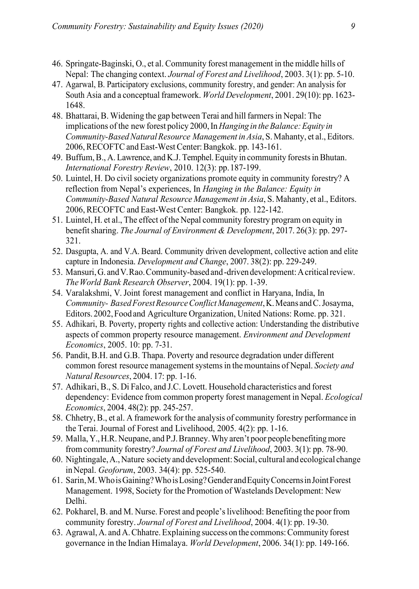- 46. Springate-Baginski, O., et al. Community forest management in the middle hills of Nepal: The changing context. *Journal of Forest and Livelihood*, 2003. 3(1): pp. 5-10.
- 47. Agarwal, B. Participatory exclusions, community forestry, and gender: An analysis for South Asia and a conceptual framework. *World Development*, 2001. 29(10): pp. 1623- 1648.
- 48. Bhattarai, B. Widening the gap between Terai and hill farmersin Nepal: The implications of the new forest policy 2000, In *Hanging* in the Balance: Equity in *Community-BasedNaturalResource Management inAsia*, S. Mahanty, et al., Editors. 2006,RECOFTCand East-WestCenter:Bangkok. pp. 143-161.
- 49. Buffum, B., A. Lawrence, and K.J. Temphel. Equity in community forests in Bhutan. *International Forestry Review*, 2010. 12(3): pp.187-199.
- 50. Luintel, H. Do civil society organizations promote equity in community forestry? A reflection from Nepal's experiences, In *Hanging in the Balance: Equity in Community-Based Natural Resource Management in Asia*, S. Mahanty, et al., Editors. 2006, RECOFTC and East-West Center: Bangkok. pp. 122-142.
- 51. Luintel, H. et al., The effect of the Nepal community forestry program on equity in benefitsharing. *The Journal of Environment & Development*, 2017. 26(3): pp. 297- 321.
- 52. Dasgupta, A. and V.A. Beard. Community driven development, collective action and elite capture in Indonesia. *Development and Change*, 2007. 38(2): pp. 229-249.
- 53. Mansuri,G. andV.Rao.Community-based and-driven development:Acriticalreview. *TheWorld Bank Research Observer*, 2004. 19(1): pp. 1-39.
- 54. Varalakshmi, V.Joint forest management and conflict in Haryana, India, In *Community- BasedForestResourceConflict Management*,K.Means andC.Josayma, Editors.2002,Food and Agriculture Organization, United Nations: Rome. pp. 321.
- 55. Adhikari, B. Poverty, property rights and collective action: Understanding the distributive aspects of common property resource management. *Environment and Development Economics*, 2005. 10: pp. 7-31.
- 56. Pandit, B.H. and G.B. Thapa. Poverty and resource degradation under different common forest resource management systems in the mountains of Nepal. *Society and Natural Resources*, 2004. 17: pp. 1-16.
- 57. Adhikari, B., S. Di Falco, and J.C. Lovett. Household characteristics and forest dependency: Evidence from common property forest management in Nepal. *Ecological Economics*, 2004. 48(2): pp. 245-257.
- 58. Chhetry, B., et al. A framework for the analysis of community forestry performance in the Terai. Journal of Forest and Livelihood, 2005. 4(2): pp. 1-16.
- 59. Malla, Y.,H.R. Neupane, and P.J.Branney.Why aren't poor people benefitingmore fromcommunity forestry? *Journal of Forest and Livelihood*, 2003. 3(1): pp. 78-90.
- 60. Nightingale,A.,Nature society and development:Social, cultural and ecological change inNepal. *Geoforum*, 2003. 34(4): pp. 525-540.
- 61. Sarin,M.WhoisGaining?WhoisLosing?GenderandEquityConcernsinJointForest Management. 1998, Society for the Promotion of Wastelands Development: New Delhi.
- 62. Pokharel, B. and M. Nurse. Forest and people'slivelihood: Benefiting the poor from community forestry. *Journal of Forest and Livelihood*, 2004. 4(1): pp. 19-30.
- 63. Agrawal, A. and A.Chhatre.Explaining success on the commons:Community forest governance in the Indian Himalaya. *World Development*, 2006. 34(1): pp. 149-166.